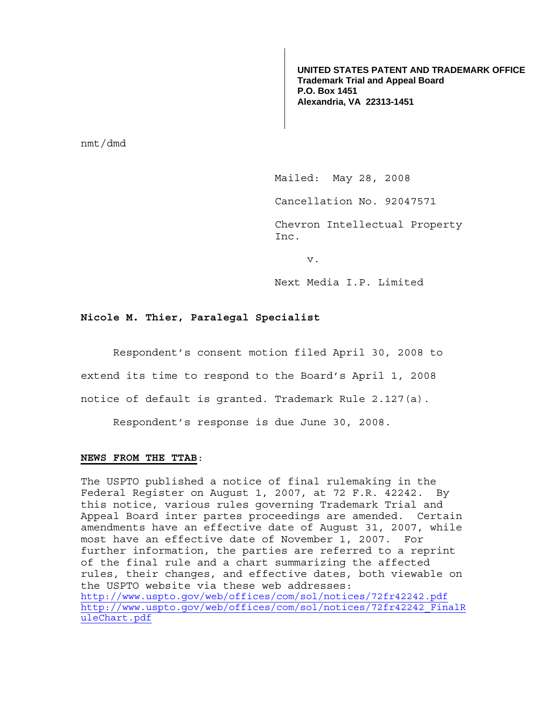**UNITED STATES PATENT AND TRADEMARK OFFICE Trademark Trial and Appeal Board P.O. Box 1451 Alexandria, VA 22313-1451**

nmt/dmd

Mailed: May 28, 2008

Cancellation No. 92047571

Chevron Intellectual Property Inc.

v.

Next Media I.P. Limited

## **Nicole M. Thier, Paralegal Specialist**

Respondent's consent motion filed April 30, 2008 to

extend its time to respond to the Board's April 1, 2008

notice of default is granted. Trademark Rule 2.127(a).

Respondent's response is due June 30, 2008.

## **NEWS FROM THE TTAB**:

The USPTO published a notice of final rulemaking in the Federal Register on August 1, 2007, at 72 F.R. 42242. By this notice, various rules governing Trademark Trial and Appeal Board inter partes proceedings are amended. Certain amendments have an effective date of August 31, 2007, while most have an effective date of November 1, 2007. For further information, the parties are referred to a reprint of the final rule and a chart summarizing the affected rules, their changes, and effective dates, both viewable on the USPTO website via these web addresses: http://www.uspto.gov/web/offices/com/sol/notices/72fr42242.pdf http://www.uspto.gov/web/offices/com/sol/notices/72fr42242\_FinalR uleChart.pdf